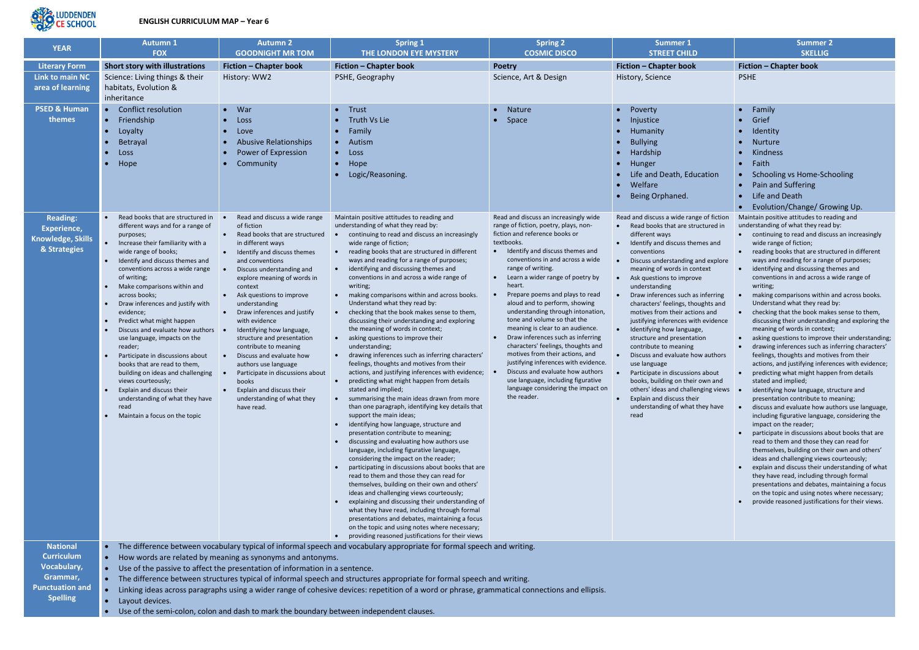

## **ENGLISH CURRICULUM MAP – Year 6**

| <b>YEAR</b>                                                                                                         | <b>Autumn 1</b>                                                                                                                                                                                                                                                                                                                                                                                                                                                                                                                                                                                                                                                                            | <b>Autumn 2</b>                                                                                                                                                                                                                                                                                                                                                                                                                                                                                                                                                                                | <b>Spring 1</b>                                                                                                                                                                                                                                                                                                                                                                                                                                                                                                                                                                                                                                                                                                                                                                                                                                                                                                                                                                                                                                                                                                                                                                                                                                                                                                                                                                                                                                                                                                                                                                                                                                                                                            | <b>Spring 2</b>                                                                                                                                                                                                                                                                                                                                                                                                                                                                                                                                                                                                                                                                                                                                                     | <b>Summer 1</b>                                                                                                                                                                                                                                                                                                                                                                                                                                                                                                                                                                                                                                                                                                                                         | <b>Summer 2</b>                                                                                                                                                                                                                                                                                                                                                                                                                                                                                                                                                                                                                                                                                                                                                                                                                                                                                                                                                                                                                                                                                                                                                                                                                                                                                                                                                                                                                                                                                                                                                         |  |  |
|---------------------------------------------------------------------------------------------------------------------|--------------------------------------------------------------------------------------------------------------------------------------------------------------------------------------------------------------------------------------------------------------------------------------------------------------------------------------------------------------------------------------------------------------------------------------------------------------------------------------------------------------------------------------------------------------------------------------------------------------------------------------------------------------------------------------------|------------------------------------------------------------------------------------------------------------------------------------------------------------------------------------------------------------------------------------------------------------------------------------------------------------------------------------------------------------------------------------------------------------------------------------------------------------------------------------------------------------------------------------------------------------------------------------------------|------------------------------------------------------------------------------------------------------------------------------------------------------------------------------------------------------------------------------------------------------------------------------------------------------------------------------------------------------------------------------------------------------------------------------------------------------------------------------------------------------------------------------------------------------------------------------------------------------------------------------------------------------------------------------------------------------------------------------------------------------------------------------------------------------------------------------------------------------------------------------------------------------------------------------------------------------------------------------------------------------------------------------------------------------------------------------------------------------------------------------------------------------------------------------------------------------------------------------------------------------------------------------------------------------------------------------------------------------------------------------------------------------------------------------------------------------------------------------------------------------------------------------------------------------------------------------------------------------------------------------------------------------------------------------------------------------------|---------------------------------------------------------------------------------------------------------------------------------------------------------------------------------------------------------------------------------------------------------------------------------------------------------------------------------------------------------------------------------------------------------------------------------------------------------------------------------------------------------------------------------------------------------------------------------------------------------------------------------------------------------------------------------------------------------------------------------------------------------------------|---------------------------------------------------------------------------------------------------------------------------------------------------------------------------------------------------------------------------------------------------------------------------------------------------------------------------------------------------------------------------------------------------------------------------------------------------------------------------------------------------------------------------------------------------------------------------------------------------------------------------------------------------------------------------------------------------------------------------------------------------------|-------------------------------------------------------------------------------------------------------------------------------------------------------------------------------------------------------------------------------------------------------------------------------------------------------------------------------------------------------------------------------------------------------------------------------------------------------------------------------------------------------------------------------------------------------------------------------------------------------------------------------------------------------------------------------------------------------------------------------------------------------------------------------------------------------------------------------------------------------------------------------------------------------------------------------------------------------------------------------------------------------------------------------------------------------------------------------------------------------------------------------------------------------------------------------------------------------------------------------------------------------------------------------------------------------------------------------------------------------------------------------------------------------------------------------------------------------------------------------------------------------------------------------------------------------------------------|--|--|
|                                                                                                                     | <b>FOX</b>                                                                                                                                                                                                                                                                                                                                                                                                                                                                                                                                                                                                                                                                                 | <b>GOODNIGHT MR TOM</b>                                                                                                                                                                                                                                                                                                                                                                                                                                                                                                                                                                        | THE LONDON EYE MYSTERY                                                                                                                                                                                                                                                                                                                                                                                                                                                                                                                                                                                                                                                                                                                                                                                                                                                                                                                                                                                                                                                                                                                                                                                                                                                                                                                                                                                                                                                                                                                                                                                                                                                                                     | <b>COSMIC DISCO</b>                                                                                                                                                                                                                                                                                                                                                                                                                                                                                                                                                                                                                                                                                                                                                 | <b>STREET CHILD</b>                                                                                                                                                                                                                                                                                                                                                                                                                                                                                                                                                                                                                                                                                                                                     | <b>SKELLIG</b>                                                                                                                                                                                                                                                                                                                                                                                                                                                                                                                                                                                                                                                                                                                                                                                                                                                                                                                                                                                                                                                                                                                                                                                                                                                                                                                                                                                                                                                                                                                                                          |  |  |
| <b>Literary Form</b>                                                                                                | <b>Short story with illustrations</b>                                                                                                                                                                                                                                                                                                                                                                                                                                                                                                                                                                                                                                                      | <b>Fiction - Chapter book</b>                                                                                                                                                                                                                                                                                                                                                                                                                                                                                                                                                                  | <b>Fiction - Chapter book</b>                                                                                                                                                                                                                                                                                                                                                                                                                                                                                                                                                                                                                                                                                                                                                                                                                                                                                                                                                                                                                                                                                                                                                                                                                                                                                                                                                                                                                                                                                                                                                                                                                                                                              | <b>Poetry</b>                                                                                                                                                                                                                                                                                                                                                                                                                                                                                                                                                                                                                                                                                                                                                       | <b>Fiction - Chapter book</b>                                                                                                                                                                                                                                                                                                                                                                                                                                                                                                                                                                                                                                                                                                                           | <b>Fiction - Chapter book</b>                                                                                                                                                                                                                                                                                                                                                                                                                                                                                                                                                                                                                                                                                                                                                                                                                                                                                                                                                                                                                                                                                                                                                                                                                                                                                                                                                                                                                                                                                                                                           |  |  |
| <b>Link to main NC</b><br>area of learning                                                                          | Science: Living things & their<br>habitats, Evolution &<br>inheritance                                                                                                                                                                                                                                                                                                                                                                                                                                                                                                                                                                                                                     | History: WW2                                                                                                                                                                                                                                                                                                                                                                                                                                                                                                                                                                                   | PSHE, Geography                                                                                                                                                                                                                                                                                                                                                                                                                                                                                                                                                                                                                                                                                                                                                                                                                                                                                                                                                                                                                                                                                                                                                                                                                                                                                                                                                                                                                                                                                                                                                                                                                                                                                            | Science, Art & Design                                                                                                                                                                                                                                                                                                                                                                                                                                                                                                                                                                                                                                                                                                                                               | History, Science                                                                                                                                                                                                                                                                                                                                                                                                                                                                                                                                                                                                                                                                                                                                        | <b>PSHE</b>                                                                                                                                                                                                                                                                                                                                                                                                                                                                                                                                                                                                                                                                                                                                                                                                                                                                                                                                                                                                                                                                                                                                                                                                                                                                                                                                                                                                                                                                                                                                                             |  |  |
| <b>PSED &amp; Human</b><br>themes                                                                                   | <b>Conflict resolution</b><br>Friendship<br>Loyalty<br>Betrayal<br><b>Loss</b><br>Hope                                                                                                                                                                                                                                                                                                                                                                                                                                                                                                                                                                                                     | $\bullet$ War<br>Loss<br>Love<br>$\bullet$<br><b>Abusive Relationships</b><br>Power of Expression<br>Community                                                                                                                                                                                                                                                                                                                                                                                                                                                                                 | Trust<br>Truth Vs Lie<br>Family<br>Autism<br>$\bullet$<br>Loss<br>$\bullet$<br>Hope<br>$\bullet$<br>Logic/Reasoning.                                                                                                                                                                                                                                                                                                                                                                                                                                                                                                                                                                                                                                                                                                                                                                                                                                                                                                                                                                                                                                                                                                                                                                                                                                                                                                                                                                                                                                                                                                                                                                                       | Nature<br>Space<br>$\bullet$                                                                                                                                                                                                                                                                                                                                                                                                                                                                                                                                                                                                                                                                                                                                        | Poverty<br>Injustice<br>Humanity<br><b>Bullying</b><br>Hardship<br>Hunger<br>Life and Death, Education<br>Welfare<br>Being Orphaned.                                                                                                                                                                                                                                                                                                                                                                                                                                                                                                                                                                                                                    | Family<br>$\bullet$<br>Grief<br>$\bullet$<br>Identity<br>$\bullet$<br><b>Nurture</b><br>$\bullet$<br>Kindness<br>Faith<br>$\bullet$<br>Schooling vs Home-Schooling<br>Pain and Suffering<br>Life and Death<br>Evolution/Change/ Growing Up.                                                                                                                                                                                                                                                                                                                                                                                                                                                                                                                                                                                                                                                                                                                                                                                                                                                                                                                                                                                                                                                                                                                                                                                                                                                                                                                             |  |  |
| <b>Reading:</b><br><b>Experience,</b><br>Knowledge, Skills<br>& Strategies                                          | Read books that are structured in<br>different ways and for a range of<br>purposes;<br>Increase their familiarity with a<br>wide range of books;<br>Identify and discuss themes and<br>conventions across a wide range<br>of writing;<br>Make comparisons within and<br>across books;<br>Draw inferences and justify with<br>evidence;<br>Predict what might happen<br>Discuss and evaluate how authors<br>use language, impacts on the<br>reader;<br>Participate in discussions about<br>books that are read to them,<br>building on ideas and challenging<br>views courteously;<br>Explain and discuss their<br>understanding of what they have<br>read<br>Maintain a focus on the topic | Read and discuss a wide range<br>of fiction<br>• Read books that are structured<br>in different ways<br>• Identify and discuss themes<br>and conventions<br>Discuss understanding and<br>explore meaning of words in<br>context<br>• Ask questions to improve<br>understanding<br>• Draw inferences and justify<br>with evidence<br>Identifying how language,<br>structure and presentation<br>contribute to meaning<br>Discuss and evaluate how<br>authors use language<br>Participate in discussions about<br>books<br>Explain and discuss their<br>understanding of what they<br>have read. | Maintain positive attitudes to reading and<br>understanding of what they read by:<br>continuing to read and discuss an increasingly<br>wide range of fiction;<br>reading books that are structured in different<br>ways and reading for a range of purposes;<br>identifying and discussing themes and<br>$\bullet$<br>conventions in and across a wide range of<br>writing;<br>making comparisons within and across books.<br>Understand what they read by:<br>checking that the book makes sense to them,<br>discussing their understanding and exploring<br>the meaning of words in context;<br>asking questions to improve their<br>$\bullet$<br>understanding;<br>drawing inferences such as inferring characters'<br>feelings, thoughts and motives from their<br>actions, and justifying inferences with evidence;<br>predicting what might happen from details<br>stated and implied;<br>• summarising the main ideas drawn from more<br>than one paragraph, identifying key details that<br>support the main ideas;<br>identifying how language, structure and<br>presentation contribute to meaning;<br>discussing and evaluating how authors use<br>language, including figurative language,<br>considering the impact on the reader;<br>participating in discussions about books that are<br>read to them and those they can read for<br>themselves, building on their own and others'<br>ideas and challenging views courteously;<br>explaining and discussing their understanding of<br>what they have read, including through formal<br>presentations and debates, maintaining a focus<br>on the topic and using notes where necessary;<br>providing reasoned justifications for their views | Read and discuss an increasingly wide<br>range of fiction, poetry, plays, non-<br>fiction and reference books or<br>textbooks.<br>Identify and discuss themes and<br>conventions in and across a wide<br>range of writing.<br>Learn a wider range of poetry by<br>$\bullet$<br>heart.<br>Prepare poems and plays to read<br>$\bullet$<br>aloud and to perform, showing<br>understanding through intonation,<br>tone and volume so that the<br>meaning is clear to an audience.<br>Draw inferences such as inferring<br>characters' feelings, thoughts and<br>motives from their actions, and<br>justifying inferences with evidence.<br>Discuss and evaluate how authors<br>use language, including figurative<br>language considering the impact on<br>the reader. | Read and discuss a wide range of fiction<br>• Read books that are structured in<br>different ways<br>Identify and discuss themes and<br>conventions<br>Discuss understanding and explore<br>meaning of words in context<br>Ask questions to improve<br>understanding<br>Draw inferences such as inferring<br>characters' feelings, thoughts and<br>motives from their actions and<br>justifying inferences with evidence<br>Identifying how language,<br>structure and presentation<br>contribute to meaning<br>Discuss and evaluate how authors<br>use language<br>Participate in discussions about<br>books, building on their own and<br>others' ideas and challenging views<br>Explain and discuss their<br>understanding of what they have<br>read | Maintain positive attitudes to reading and<br>understanding of what they read by:<br>continuing to read and discuss an increasingly<br>$\bullet$<br>wide range of fiction;<br>reading books that are structured in different<br>$\bullet$<br>ways and reading for a range of purposes;<br>identifying and discussing themes and<br>$\bullet$<br>conventions in and across a wide range of<br>writing;<br>making comparisons within and across books.<br>Understand what they read by:<br>checking that the book makes sense to them,<br>discussing their understanding and exploring the<br>meaning of words in context;<br>asking questions to improve their understanding;<br>drawing inferences such as inferring characters'<br>feelings, thoughts and motives from their<br>actions, and justifying inferences with evidence;<br>predicting what might happen from details<br>stated and implied;<br>identifying how language, structure and<br>presentation contribute to meaning;<br>discuss and evaluate how authors use language,<br>including figurative language, considering the<br>impact on the reader;<br>participate in discussions about books that are<br>read to them and those they can read for<br>themselves, building on their own and others'<br>ideas and challenging views courteously;<br>explain and discuss their understanding of what<br>they have read, including through formal<br>presentations and debates, maintaining a focus<br>on the topic and using notes where necessary;<br>provide reasoned justifications for their views. |  |  |
| <b>National</b><br><b>Curriculum</b><br><b>Vocabulary,</b><br>Grammar,<br><b>Punctuation and</b><br><b>Spelling</b> | The difference between vocabulary typical of informal speech and vocabulary appropriate for formal speech and writing.<br>$\bullet$<br>How words are related by meaning as synonyms and antonyms.<br>Use of the passive to affect the presentation of information in a sentence.<br>The difference between structures typical of informal speech and structures appropriate for formal speech and writing.<br>$\bullet$<br>Linking ideas across paragraphs using a wider range of cohesive devices: repetition of a word or phrase, grammatical connections and ellipsis.<br>Layout devices.                                                                                               |                                                                                                                                                                                                                                                                                                                                                                                                                                                                                                                                                                                                |                                                                                                                                                                                                                                                                                                                                                                                                                                                                                                                                                                                                                                                                                                                                                                                                                                                                                                                                                                                                                                                                                                                                                                                                                                                                                                                                                                                                                                                                                                                                                                                                                                                                                                            |                                                                                                                                                                                                                                                                                                                                                                                                                                                                                                                                                                                                                                                                                                                                                                     |                                                                                                                                                                                                                                                                                                                                                                                                                                                                                                                                                                                                                                                                                                                                                         |                                                                                                                                                                                                                                                                                                                                                                                                                                                                                                                                                                                                                                                                                                                                                                                                                                                                                                                                                                                                                                                                                                                                                                                                                                                                                                                                                                                                                                                                                                                                                                         |  |  |

 $\bullet$  Use of the semi-colon, colon and dash to mark the boundary between independent clauses.